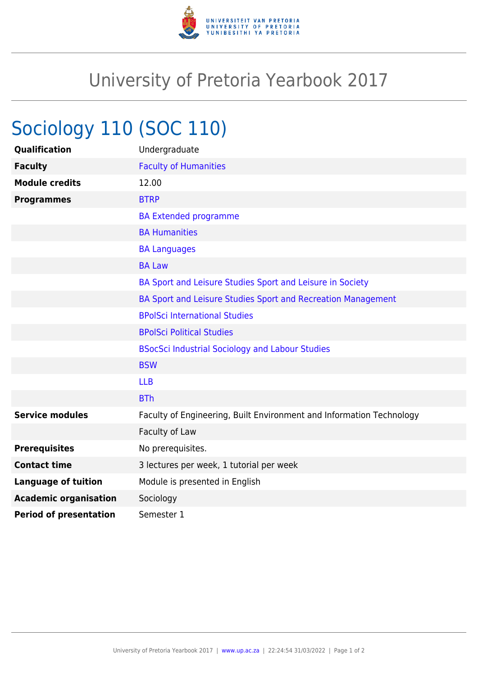

## University of Pretoria Yearbook 2017

## Sociology 110 (SOC 110)

| <b>Qualification</b>          | Undergraduate                                                        |
|-------------------------------|----------------------------------------------------------------------|
| <b>Faculty</b>                | <b>Faculty of Humanities</b>                                         |
| <b>Module credits</b>         | 12.00                                                                |
| <b>Programmes</b>             | <b>BTRP</b>                                                          |
|                               | <b>BA Extended programme</b>                                         |
|                               | <b>BA Humanities</b>                                                 |
|                               | <b>BA Languages</b>                                                  |
|                               | <b>BA Law</b>                                                        |
|                               | BA Sport and Leisure Studies Sport and Leisure in Society            |
|                               | BA Sport and Leisure Studies Sport and Recreation Management         |
|                               | <b>BPolSci International Studies</b>                                 |
|                               | <b>BPolSci Political Studies</b>                                     |
|                               | <b>BSocSci Industrial Sociology and Labour Studies</b>               |
|                               | <b>BSW</b>                                                           |
|                               | <b>LLB</b>                                                           |
|                               | <b>BTh</b>                                                           |
| <b>Service modules</b>        | Faculty of Engineering, Built Environment and Information Technology |
|                               | Faculty of Law                                                       |
| <b>Prerequisites</b>          | No prerequisites.                                                    |
| <b>Contact time</b>           | 3 lectures per week, 1 tutorial per week                             |
| <b>Language of tuition</b>    | Module is presented in English                                       |
| <b>Academic organisation</b>  | Sociology                                                            |
| <b>Period of presentation</b> | Semester 1                                                           |